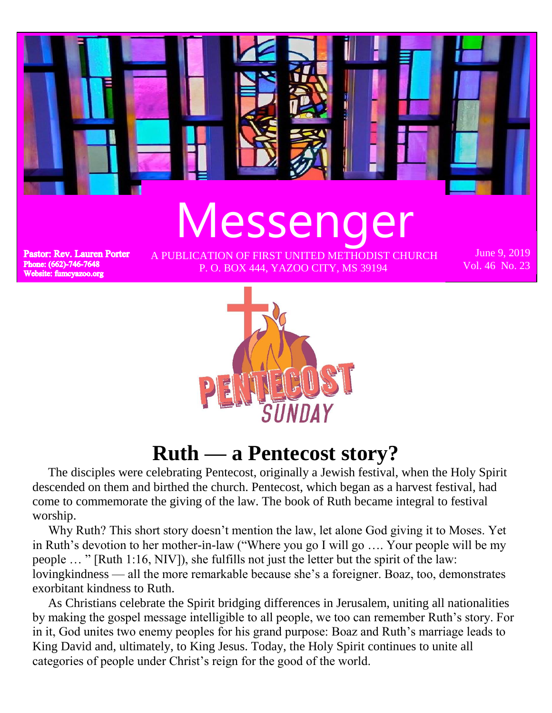

 The disciples were celebrating Pentecost, originally a Jewish festival, when the Holy Spirit descended on them and birthed the church. Pentecost, which began as a harvest festival, had come to commemorate the giving of the law. The book of Ruth became integral to festival worship.

**Ruth — a Pentecost story?**

 Why Ruth? This short story doesn't mention the law, let alone God giving it to Moses. Yet in Ruth's devotion to her mother-in-law ("Where you go I will go …. Your people will be my people … " [Ruth 1:16, NIV]), she fulfills not just the letter but the spirit of the law: lovingkindness — all the more remarkable because she's a foreigner. Boaz, too, demonstrates exorbitant kindness to Ruth.

 As Christians celebrate the Spirit bridging differences in Jerusalem, uniting all nationalities by making the gospel message intelligible to all people, we too can remember Ruth's story. For in it, God unites two enemy peoples for his grand purpose: Boaz and Ruth's marriage leads to King David and, ultimately, to King Jesus. Today, the Holy Spirit continues to unite all categories of people under Christ's reign for the good of the world.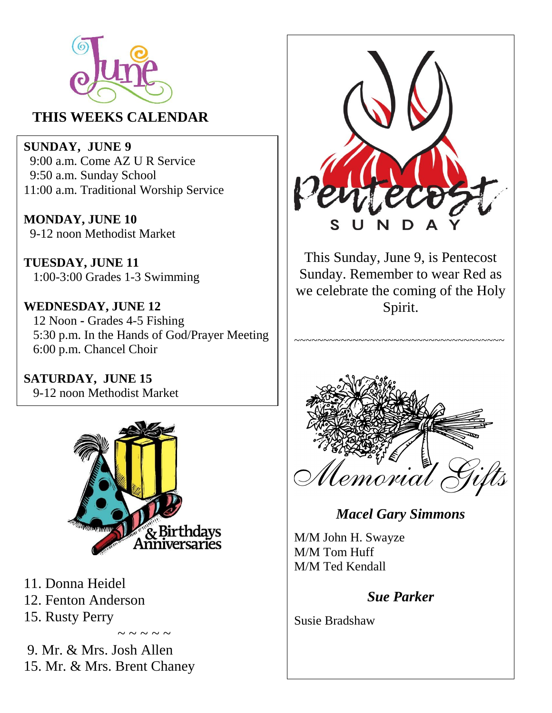

### **THIS WEEKS CALENDAR**

**SUNDAY, JUNE 9** 9:00 a.m. Come AZ U R Service 9:50 a.m. Sunday School 11:00 a.m. Traditional Worship Service

**MONDAY, JUNE 10** 9-12 noon Methodist Market

**TUESDAY, JUNE 11** 1:00-3:00 Grades 1-3 Swimming

**WEDNESDAY, JUNE 12** 12 Noon **-** Grades 4-5 Fishing 5:30 p.m. In the Hands of God/Prayer Meeting 6:00 p.m. Chancel Choir

**SATURDAY, JUNE 15** 9-12 noon Methodist Market



 $\sim$  ~ ~ ~

- 11. Donna Heidel
- 12. Fenton Anderson
- 15. Rusty Perry

9. Mr. & Mrs. Josh Allen 15. Mr. & Mrs. Brent Chaney



This Sunday, June 9, is Pentecost Sunday. Remember to wear Red as we celebrate the coming of the Holy Spirit.

~~~~~~~~~~~~~~~~~~~~~~~~~~~~~~~~~~~



### *Macel Gary Simmons*

M/M John H. Swayze M/M Tom Huff M/M Ted Kendall

#### *Sue Parker*

Susie Bradshaw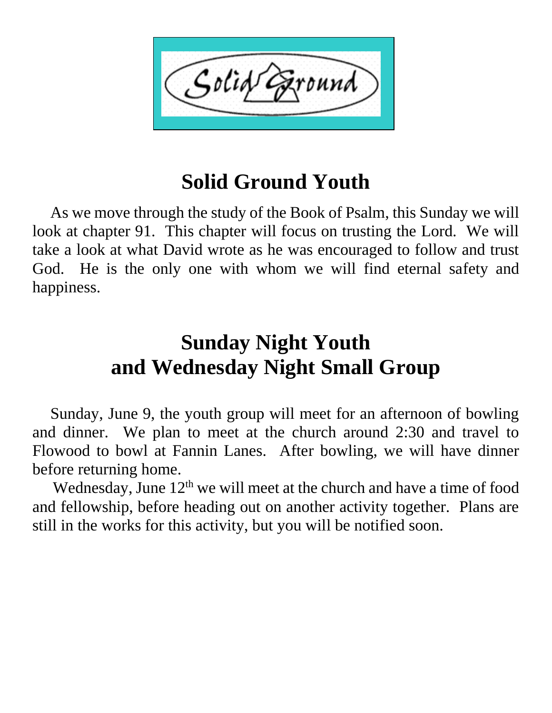

## **Solid Ground Youth**

 As we move through the study of the Book of Psalm, this Sunday we will look at chapter 91. This chapter will focus on trusting the Lord. We will take a look at what David wrote as he was encouraged to follow and trust God. He is the only one with whom we will find eternal safety and happiness.

# **Sunday Night Youth and Wednesday Night Small Group**

 Sunday, June 9, the youth group will meet for an afternoon of bowling and dinner. We plan to meet at the church around 2:30 and travel to Flowood to bowl at Fannin Lanes. After bowling, we will have dinner before returning home.

Wednesday, June  $12<sup>th</sup>$  we will meet at the church and have a time of food and fellowship, before heading out on another activity together. Plans are still in the works for this activity, but you will be notified soon.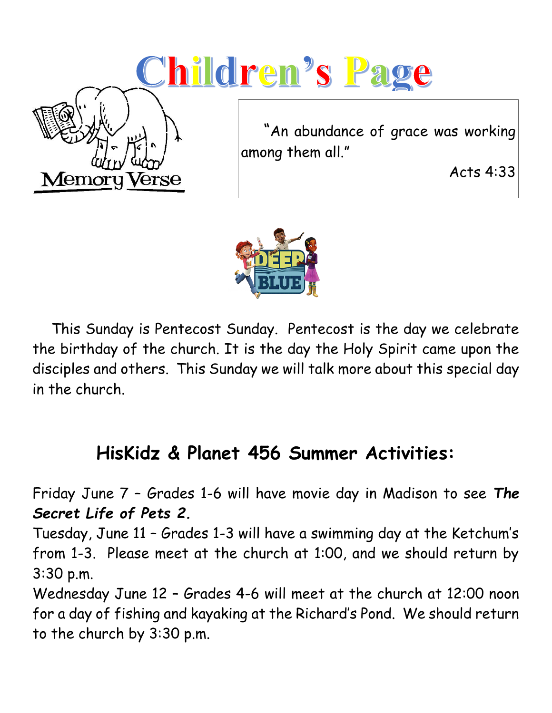



 This Sunday is Pentecost Sunday. Pentecost is the day we celebrate the birthday of the church. It is the day the Holy Spirit came upon the disciples and others. This Sunday we will talk more about this special day in the church.

### **HisKidz & Planet 456 Summer Activities:**

Friday June 7 – Grades 1-6 will have movie day in Madison to see *The Secret Life of Pets 2.*

Tuesday, June 11 – Grades 1-3 will have a swimming day at the Ketchum's from 1-3. Please meet at the church at 1:00, and we should return by 3:30 p.m.

Wednesday June 12 – Grades 4-6 will meet at the church at 12:00 noon for a day of fishing and kayaking at the Richard's Pond. We should return to the church by 3:30 p.m.